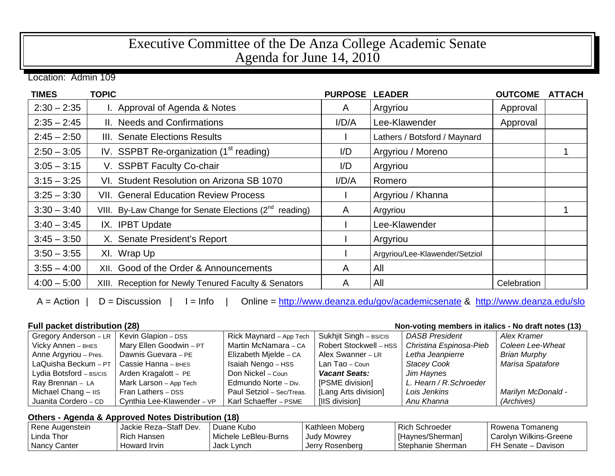## Executive Committee of the De Anza College Academic Senate Agenda for June 14, 2010

Location: Admin 109

| <b>TIMES</b>  | <b>TOPIC</b>                                                       | <b>PURPOSE</b> | <b>LEADER</b>                  | <b>OUTCOME</b> | <b>ATTACH</b> |
|---------------|--------------------------------------------------------------------|----------------|--------------------------------|----------------|---------------|
| $2:30 - 2:35$ | I. Approval of Agenda & Notes                                      | A              | Argyriou                       | Approval       |               |
| $2:35 - 2:45$ | II. Needs and Confirmations                                        | I/D/A          | Lee-Klawender                  | Approval       |               |
| $2:45 - 2:50$ | III. Senate Elections Results                                      |                | Lathers / Botsford / Maynard   |                |               |
| $2:50 - 3:05$ | IV. SSPBT Re-organization $(1st$ reading)                          | I/D            | Argyriou / Moreno              |                |               |
| $3:05 - 3:15$ | V. SSPBT Faculty Co-chair                                          | I/D            | Argyriou                       |                |               |
| $3:15 - 3:25$ | VI. Student Resolution on Arizona SB 1070                          | I/D/A          | Romero                         |                |               |
| $3:25 - 3:30$ | <b>VII. General Education Review Process</b>                       |                | Argyriou / Khanna              |                |               |
| $3:30 - 3:40$ | VIII. By-Law Change for Senate Elections (2 <sup>nd</sup> reading) | A              | Argyriou                       |                |               |
| $3:40 - 3:45$ | IX. IPBT Update                                                    |                | Lee-Klawender                  |                |               |
| $3:45 - 3:50$ | X. Senate President's Report                                       |                | Argyriou                       |                |               |
| $3:50 - 3:55$ | XI. Wrap Up                                                        |                | Argyriou/Lee-Klawender/Setziol |                |               |
| $3:55 - 4:00$ | XII. Good of the Order & Announcements                             | A              | All                            |                |               |
| $4:00 - 5:00$ | XIII. Reception for Newly Tenured Faculty & Senators               | A              | All                            | Celebration    |               |

A = Action | D = Discussion | I = Info | Online =<http://www.deanza.edu/gov/academicsenate> & <http://www.deanza.edu/slo>

**Full packet distribution (28) Non-voting members in italics - No draft notes (13)**

| Gregory Anderson - LR   | Kevin Glapion - DSS        | Rick Maynard - App Tech   | Sukhjit Singh - BS/CIS | <b>DASB President</b>   | Alex Kramer         |
|-------------------------|----------------------------|---------------------------|------------------------|-------------------------|---------------------|
| Vicky Annen - BHES      | Mary Ellen Goodwin - PT    | Martin McNamara - CA      | Robert Stockwell - HSS | Christina Espinosa-Pieb | Coleen Lee-Wheat    |
| Anne Argyriou - Pres.   | Dawnis Guevara - PE        | Elizabeth Mjelde - CA     | Alex Swanner - LR      | Letha Jeanpierre        | <b>Brian Murphy</b> |
| LaQuisha Beckum - $PT$  | Cassie Hanna - внєѕ        | Isaiah Nengo - HSS        | Lan Tao – Coun         | <b>Stacey Cook</b>      | Marisa Spatafore    |
| Lydia Botsford - BS/CIS | Arden Kragalott - PE       | Don Nickel – Coun         | <b>Vacant Seats:</b>   | Jim Haynes              |                     |
| Ray Brennan - LA        | Mark Larson - App Tech     | Edmundo Norte - Div.      | [PSME division]        | L. Hearn / R. Schroeder |                     |
| Michael Chang - IIS     | Fran Lathers - DSS         | Paul Setziol - Sec/Treas. | [Lang Arts division]   | Lois Jenkins            | Marilyn McDonald -  |
| Juanita Cordero - CD    | Cynthia Lee-Klawender - VP | Karl Schaeffer - PSME     | [IIS division]         | Anu Khanna              | (Archives)          |

## **Others - Agenda & Approved Notes Distribution (18)**

| Rene Augenstein | Jackie Reza-Staff Dev. | Duane Kubo           | Kathleen Moberg    | <b>Rich Schroeder</b> | I Rowena Tomaneng      |
|-----------------|------------------------|----------------------|--------------------|-----------------------|------------------------|
| Linda Thor      | Rich Hansen            | Michele LeBleu-Burns | <b>Judy Mowrey</b> | [Haynes/Sherman]      | Carolyn Wilkins-Greene |
| Nancy Canter    | Howard Irvin           | Jack Lynch           | I Jerry Rosenberg  | Stephanie Sherman     | FH Senate - Davison    |